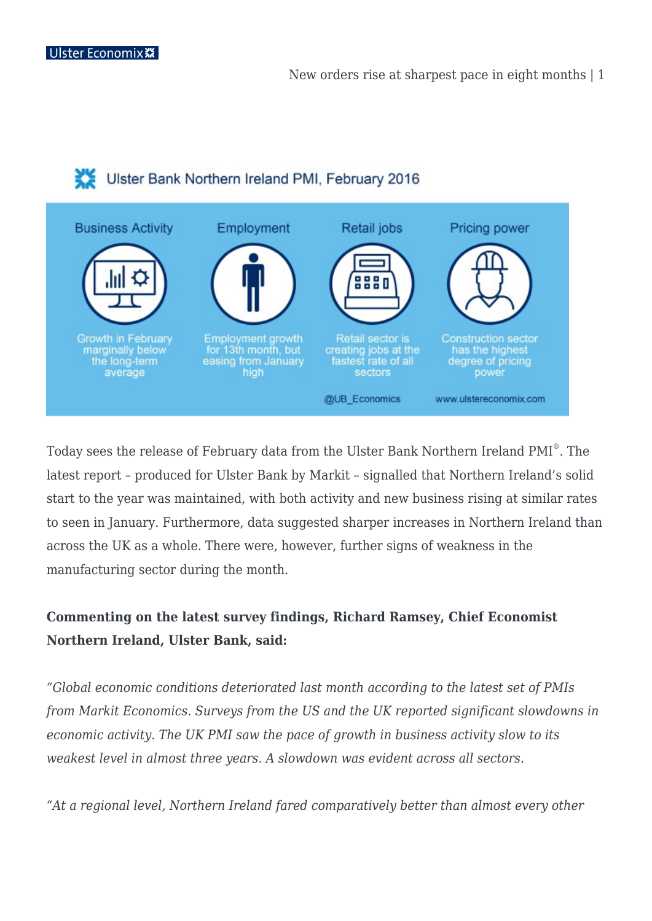## Ulster Bank Northern Ireland PMI, February 2016



Today sees the release of February data from the Ulster Bank Northern Ireland PMI® . The latest report – produced for Ulster Bank by Markit – signalled that Northern Ireland's solid start to the year was maintained, with both activity and new business rising at similar rates to seen in January. Furthermore, data suggested sharper increases in Northern Ireland than across the UK as a whole. There were, however, further signs of weakness in the manufacturing sector during the month.

## **Commenting on the latest survey findings, Richard Ramsey, Chief Economist Northern Ireland, Ulster Bank, said:**

*"Global economic conditions deteriorated last month according to the latest set of PMIs from Markit Economics. Surveys from the US and the UK reported significant slowdowns in economic activity. The UK PMI saw the pace of growth in business activity slow to its weakest level in almost three years. A slowdown was evident across all sectors.*

*"At a regional level, Northern Ireland fared comparatively better than almost every other*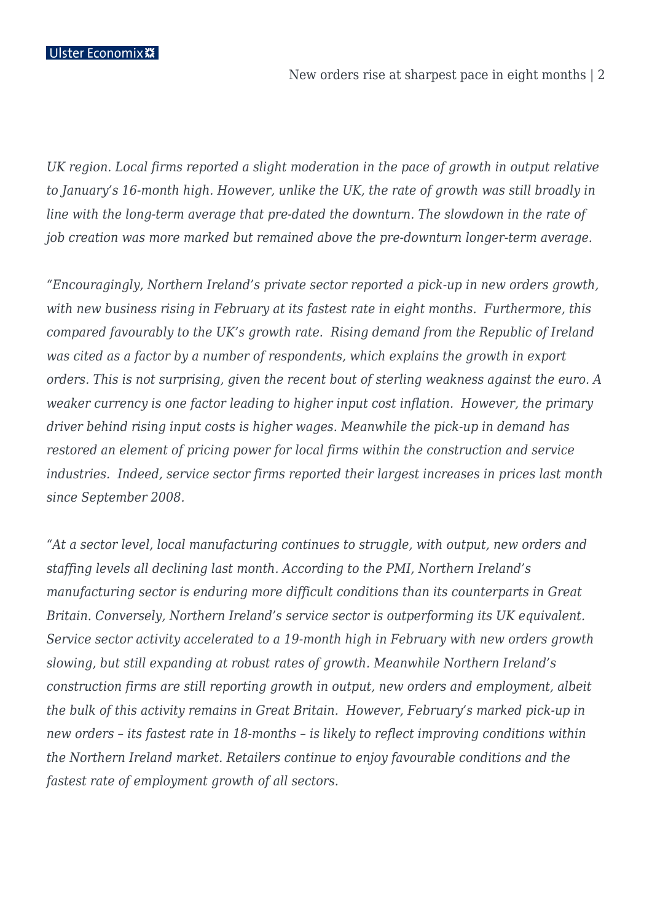New orders rise at sharpest pace in eight months | 2

*UK region. Local firms reported a slight moderation in the pace of growth in output relative to January's 16-month high. However, unlike the UK, the rate of growth was still broadly in line with the long-term average that pre-dated the downturn. The slowdown in the rate of job creation was more marked but remained above the pre-downturn longer-term average.*

*"Encouragingly, Northern Ireland's private sector reported a pick-up in new orders growth, with new business rising in February at its fastest rate in eight months. Furthermore, this compared favourably to the UK's growth rate. Rising demand from the Republic of Ireland was cited as a factor by a number of respondents, which explains the growth in export orders. This is not surprising, given the recent bout of sterling weakness against the euro. A weaker currency is one factor leading to higher input cost inflation. However, the primary driver behind rising input costs is higher wages. Meanwhile the pick-up in demand has restored an element of pricing power for local firms within the construction and service industries. Indeed, service sector firms reported their largest increases in prices last month since September 2008.*

*"At a sector level, local manufacturing continues to struggle, with output, new orders and staffing levels all declining last month. According to the PMI, Northern Ireland's manufacturing sector is enduring more difficult conditions than its counterparts in Great Britain. Conversely, Northern Ireland's service sector is outperforming its UK equivalent. Service sector activity accelerated to a 19-month high in February with new orders growth slowing, but still expanding at robust rates of growth. Meanwhile Northern Ireland's construction firms are still reporting growth in output, new orders and employment, albeit the bulk of this activity remains in Great Britain. However, February's marked pick-up in new orders – its fastest rate in 18-months – is likely to reflect improving conditions within the Northern Ireland market. Retailers continue to enjoy favourable conditions and the fastest rate of employment growth of all sectors.*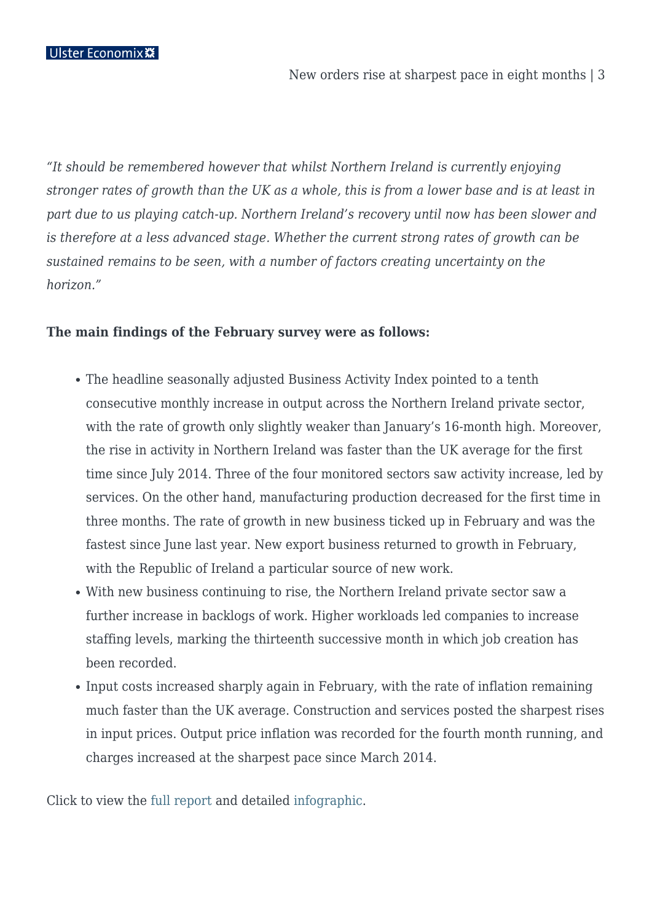*"It should be remembered however that whilst Northern Ireland is currently enjoying stronger rates of growth than the UK as a whole, this is from a lower base and is at least in part due to us playing catch-up. Northern Ireland's recovery until now has been slower and is therefore at a less advanced stage. Whether the current strong rates of growth can be sustained remains to be seen, with a number of factors creating uncertainty on the horizon."* 

## **The main findings of the February survey were as follows:**

- The headline seasonally adjusted Business Activity Index pointed to a tenth consecutive monthly increase in output across the Northern Ireland private sector, with the rate of growth only slightly weaker than January's 16-month high. Moreover, the rise in activity in Northern Ireland was faster than the UK average for the first time since July 2014. Three of the four monitored sectors saw activity increase, led by services. On the other hand, manufacturing production decreased for the first time in three months. The rate of growth in new business ticked up in February and was the fastest since June last year. New export business returned to growth in February, with the Republic of Ireland a particular source of new work.
- With new business continuing to rise, the Northern Ireland private sector saw a further increase in backlogs of work. Higher workloads led companies to increase staffing levels, marking the thirteenth successive month in which job creation has been recorded.
- Input costs increased sharply again in February, with the rate of inflation remaining much faster than the UK average. Construction and services posted the sharpest rises in input prices. Output price inflation was recorded for the fourth month running, and charges increased at the sharpest pace since March 2014.

Click to view the [full report](https://ulstereconomix.com/wp-content/uploads/2016/03/nire_pmi_1603.pdf) and detailed [infographic](https://ulstereconomix.com/wp-content/uploads/2016/03/ni-pmi-infographic-feb-16.jpg).